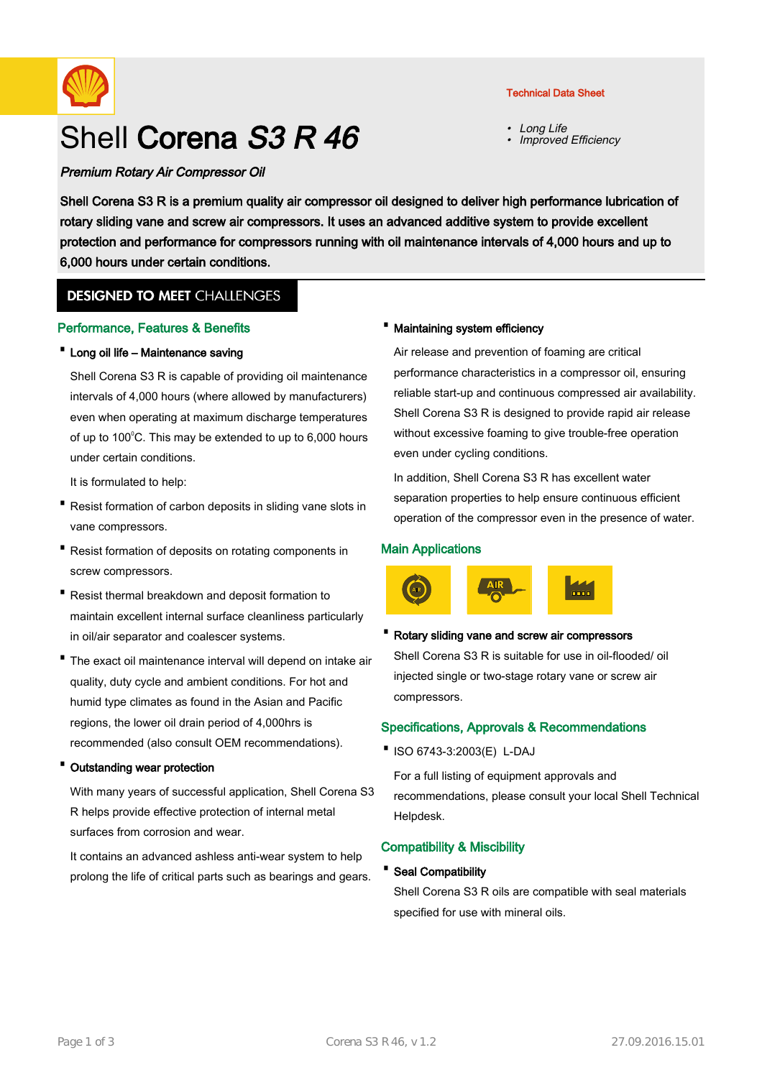

# Shell Corena S3 R 46

# Premium Rotary Air Compressor Oil

• Long Life •Improved Efficiency

Shell Corena S3 R is a premium quality air compressor oil designed to deliver high performance lubrication of rotary sliding vane and screw air compressors. It uses an advanced additive system to provide excellent protection and performance for compressors running with oil maintenance intervals of 4,000 hours and up to 6,000 hours under certain conditions.

# **DESIGNED TO MEET CHALLENGES**

### Performance, Features & Benefits

### · Long oil life – Maintenance saving

Shell Corena S3 R is capable of providing oil maintenance intervals of 4,000 hours (where allowed by manufacturers) even when operating at maximum discharge temperatures of up to 100 $\degree$ C. This may be extended to up to 6,000 hours under certain conditions.

It is formulated to help:

- Resist formation of carbon deposits in sliding vane slots in vane compressors.
- Resist formation of deposits on rotating components in screw compressors.
- Resist thermal breakdown and deposit formation to maintain excellent internal surface cleanliness particularly in oil/air separator and coalescer systems.
- The exact oil maintenance interval will depend on intake air quality, duty cycle and ambient conditions. For hot and humid type climates as found in the Asian and Pacific regions, the lower oil drain period of 4,000hrs is recommended (also consult OEM recommendations).

#### · Outstanding wear protection

With many years of successful application, Shell Corena S3 R helps provide effective protection of internal metal surfaces from corrosion and wear.

It contains an advanced ashless anti-wear system to help prolong the life of critical parts such as bearings and gears.

### · Maintaining system efficiency

Air release and prevention of foaming are critical performance characteristics in a compressor oil, ensuring reliable start-up and continuous compressed air availability. Shell Corena S3 R is designed to provide rapid air release without excessive foaming to give trouble-free operation even under cycling conditions.

In addition, Shell Corena S3 R has excellent water separation properties to help ensure continuous efficient operation of the compressor even in the presence of water.

## Main Applications

compressors.



# Rotary sliding vane and screw air compressors Shell Corena S3 R is suitable for use in oil-flooded/ oil injected single or two-stage rotary vane or screw air

# Specifications, Approvals & Recommendations

·ISO 6743-3:2003(E) L-DAJ

For a full listing of equipment approvals and recommendations, please consult your local Shell Technical Helpdesk.

## Compatibility & Miscibility

· Seal Compatibility

Shell Corena S3 R oils are compatible with seal materials specified for use with mineral oils.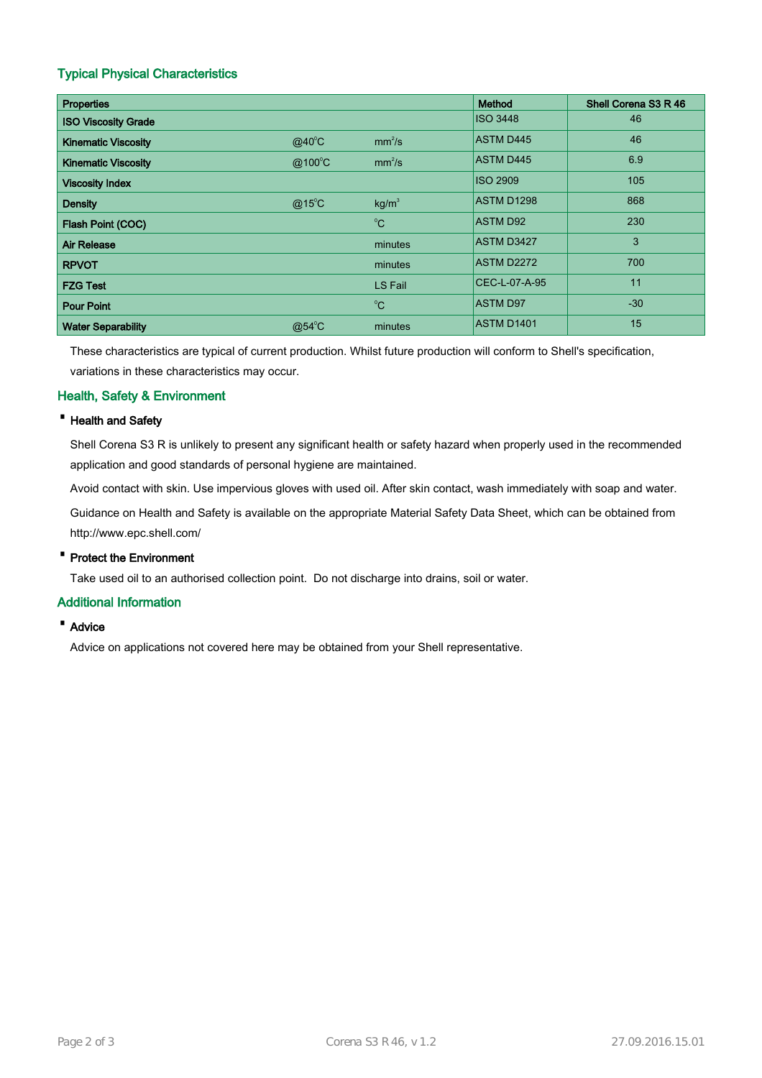# Typical Physical Characteristics

| <b>Properties</b>          |                 |                    | Method            | Shell Corena S3 R 46 |
|----------------------------|-----------------|--------------------|-------------------|----------------------|
| <b>ISO Viscosity Grade</b> |                 |                    | <b>ISO 3448</b>   | 46                   |
| <b>Kinematic Viscosity</b> | $@40^{\circ}$ C | mm <sup>2</sup> /s | <b>ASTM D445</b>  | 46                   |
| <b>Kinematic Viscosity</b> | @100°C          | mm <sup>2</sup> /s | <b>ASTM D445</b>  | 6.9                  |
| <b>Viscosity Index</b>     |                 |                    | <b>ISO 2909</b>   | 105                  |
| <b>Density</b>             | $@15^{\circ}$ C | kg/m <sup>3</sup>  | ASTM D1298        | 868                  |
| Flash Point (COC)          |                 | $^0C$              | <b>ASTM D92</b>   | 230                  |
| <b>Air Release</b>         |                 | minutes            | <b>ASTM D3427</b> | 3                    |
| <b>RPVOT</b>               |                 | minutes            | ASTM D2272        | 700                  |
| <b>FZG Test</b>            |                 | LS Fail            | CEC-L-07-A-95     | 11                   |
| <b>Pour Point</b>          |                 | $^0C$              | <b>ASTM D97</b>   | $-30$                |
| <b>Water Separability</b>  | $@54^{\circ}$ C | minutes            | <b>ASTM D1401</b> | 15                   |

These characteristics are typical of current production. Whilst future production will conform to Shell's specification, variations in these characteristics may occur.

# Health, Safety & Environment

### · Health and Safety

Shell Corena S3 R is unlikely to present any significant health or safety hazard when properly used in the recommended application and good standards of personal hygiene are maintained.

Avoid contact with skin. Use impervious gloves with used oil. After skin contact, wash immediately with soap and water.

Guidance on Health and Safety is available on the appropriate Material Safety Data Sheet, which can be obtained from http://www.epc.shell.com/

## · Protect the Environment

Take used oil to an authorised collection point. Do not discharge into drains, soil or water.

# Additional Information

· Advice

Advice on applications not covered here may be obtained from your Shell representative.